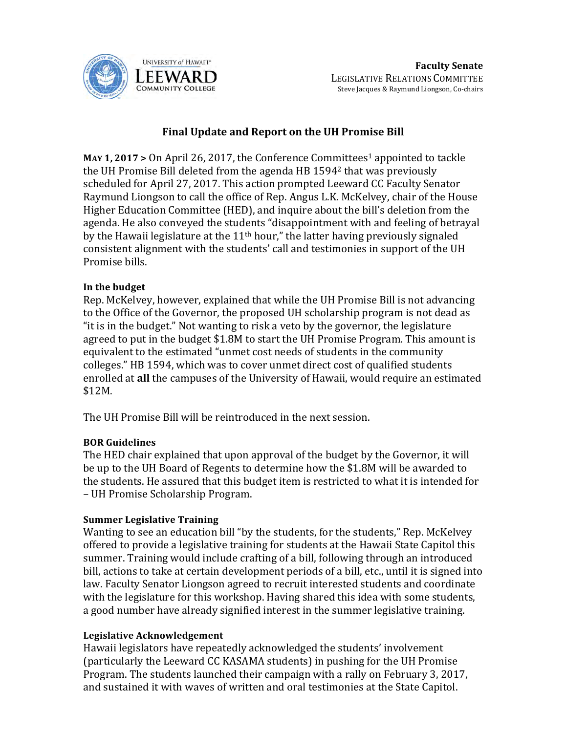

# **Final Update and Report on the UH Promise Bill**

**MAY 1, 2017 >** On April 26, 2017, the Conference Committees<sup>1</sup> appointed to tackle the UH Promise Bill deleted from the agenda HB  $1594<sup>2</sup>$  that was previously scheduled for April 27, 2017. This action prompted Leeward CC Faculty Senator Raymund Liongson to call the office of Rep. Angus L.K. McKelvey, chair of the House Higher Education Committee (HED), and inquire about the bill's deletion from the agenda. He also conveyed the students "disappointment with and feeling of betrayal by the Hawaii legislature at the  $11<sup>th</sup>$  hour," the latter having previously signaled consistent alignment with the students' call and testimonies in support of the UH Promise bills.

## In the budget

Rep. McKelvey, however, explained that while the UH Promise Bill is not advancing to the Office of the Governor, the proposed UH scholarship program is not dead as "it is in the budget." Not wanting to risk a veto by the governor, the legislature agreed to put in the budget \$1.8M to start the UH Promise Program. This amount is equivalent to the estimated "unmet cost needs of students in the community colleges." HB 1594, which was to cover unmet direct cost of qualified students enrolled at all the campuses of the University of Hawaii, would require an estimated \$12M.

The UH Promise Bill will be reintroduced in the next session.

## **BOR Guidelines**

The HED chair explained that upon approval of the budget by the Governor, it will be up to the UH Board of Regents to determine how the \$1.8M will be awarded to the students. He assured that this budget item is restricted to what it is intended for – UH Promise Scholarship Program.

## **Summer Legislative Training**

Wanting to see an education bill "by the students, for the students," Rep. McKelvey offered to provide a legislative training for students at the Hawaii State Capitol this summer. Training would include crafting of a bill, following through an introduced bill, actions to take at certain development periods of a bill, etc., until it is signed into law. Faculty Senator Liongson agreed to recruit interested students and coordinate with the legislature for this workshop. Having shared this idea with some students, a good number have already signified interest in the summer legislative training.

#### **Legislative Acknowledgement**

Hawaii legislators have repeatedly acknowledged the students' involvement (particularly the Leeward CC KASAMA students) in pushing for the UH Promise Program. The students launched their campaign with a rally on February 3, 2017, and sustained it with waves of written and oral testimonies at the State Capitol.